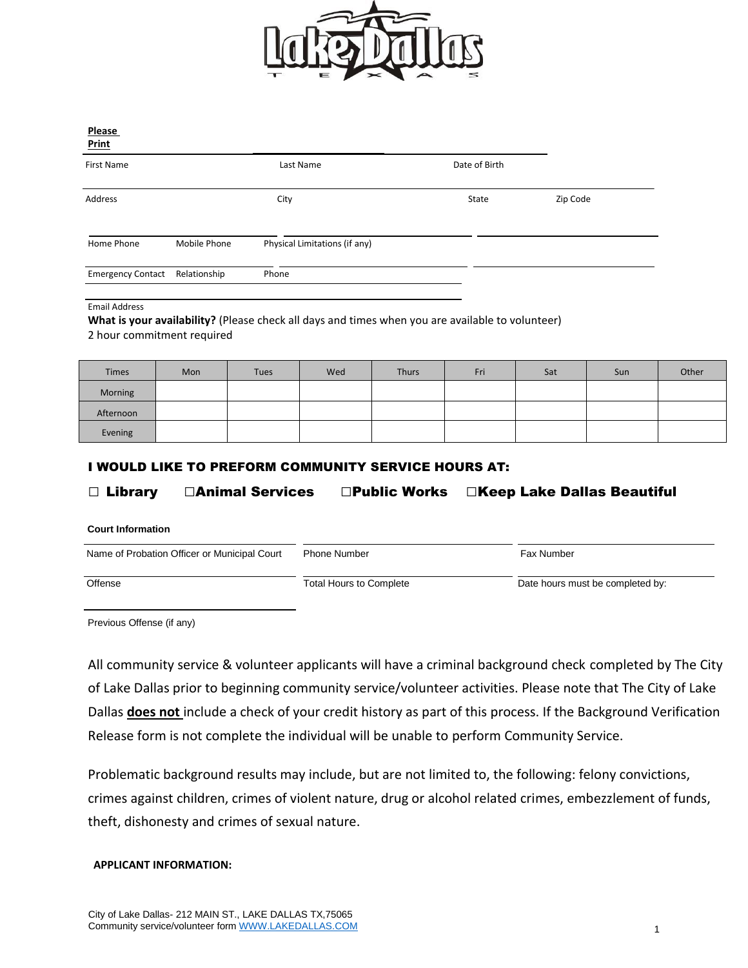

| <b>Print</b>             |              |                               |               |          |  |
|--------------------------|--------------|-------------------------------|---------------|----------|--|
| <b>First Name</b>        |              | Last Name                     | Date of Birth |          |  |
| Address                  |              | City                          | State         | Zip Code |  |
| Home Phone               | Mobile Phone | Physical Limitations (if any) |               |          |  |
| <b>Emergency Contact</b> | Relationship | Phone                         |               |          |  |

#### Email Address

**What is your availability?** (Please check all days and times when you are available to volunteer) 2 hour commitment required

| <b>Times</b> | Mon | <b>Tues</b> | Wed | Thurs | Fri | Sat | Sun | Other |
|--------------|-----|-------------|-----|-------|-----|-----|-----|-------|
| Morning      |     |             |     |       |     |     |     |       |
| Afternoon    |     |             |     |       |     |     |     |       |
| Evening      |     |             |     |       |     |     |     |       |

### I WOULD LIKE TO PREFORM COMMUNITY SERVICE HOURS AT:

## □ Library □Animal Services □Public Works □Keep Lake Dallas Beautiful

**Court Information**

| Name of Probation Officer or Municipal Court | <b>Phone Number</b>     | Fax Number                       |
|----------------------------------------------|-------------------------|----------------------------------|
| Offense                                      | Total Hours to Complete | Date hours must be completed by: |

Previous Offense (if any)

All community service & volunteer applicants will have a criminal background check completed by The City of Lake Dallas prior to beginning community service/volunteer activities. Please note that The City of Lake Dallas **does not** include a check of your credit history as part of this process. If the Background Verification Release form is not complete the individual will be unable to perform Community Service.

Problematic background results may include, but are not limited to, the following: felony convictions, crimes against children, crimes of violent nature, drug or alcohol related crimes, embezzlement of funds, theft, dishonesty and crimes of sexual nature.

### **APPLICANT INFORMATION:**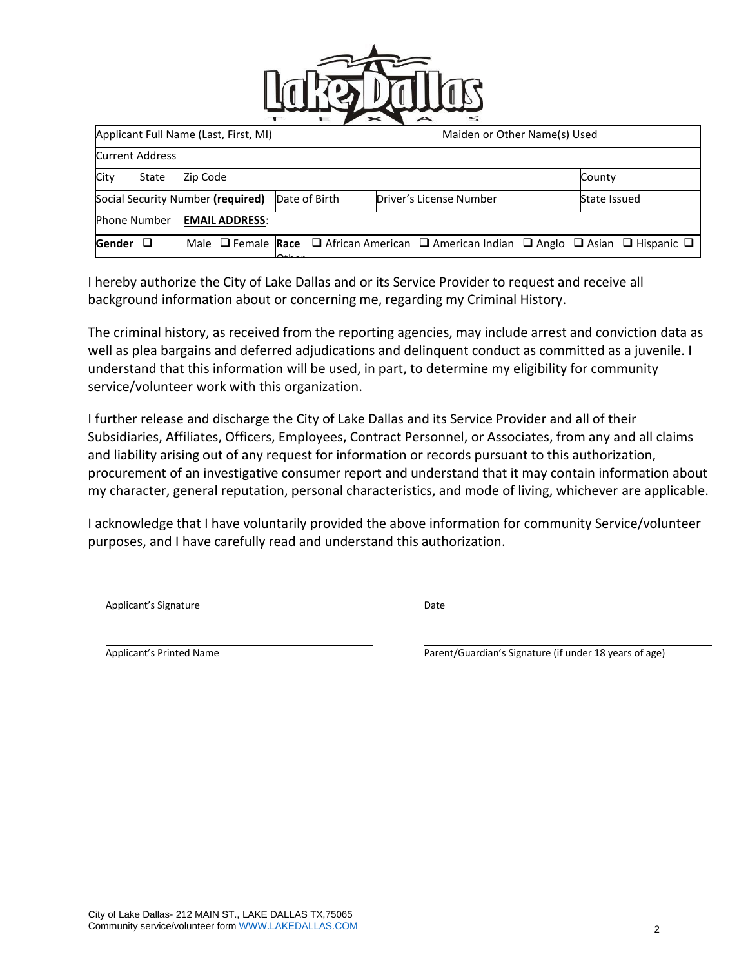

| Applicant Full Name (Last, First, MI) |                       |               | Maiden or Other Name(s) Used                                                                                            |  |              |
|---------------------------------------|-----------------------|---------------|-------------------------------------------------------------------------------------------------------------------------|--|--------------|
| <b>Current Address</b>                |                       |               |                                                                                                                         |  |              |
| City<br>State                         | Zip Code              |               |                                                                                                                         |  | County       |
| Social Security Number (required)     |                       | Date of Birth | Driver's License Number                                                                                                 |  | State Issued |
| <b>Phone Number</b>                   | <b>EMAIL ADDRESS:</b> |               |                                                                                                                         |  |              |
| Gender<br>ப                           |                       | $\sim$ .      | Male $\Box$ Female Race $\Box$ African American $\Box$ American Indian $\Box$ Anglo $\Box$ Asian $\Box$ Hispanic $\Box$ |  |              |
|                                       |                       |               |                                                                                                                         |  |              |

I hereby authorize the City of Lake Dallas and or its Service Provider to request and receive all background information about or concerning me, regarding my Criminal History.

The criminal history, as received from the reporting agencies, may include arrest and conviction data as well as plea bargains and deferred adjudications and delinquent conduct as committed as a juvenile. I understand that this information will be used, in part, to determine my eligibility for community service/volunteer work with this organization.

I further release and discharge the City of Lake Dallas and its Service Provider and all of their Subsidiaries, Affiliates, Officers, Employees, Contract Personnel, or Associates, from any and all claims and liability arising out of any request for information or records pursuant to this authorization, procurement of an investigative consumer report and understand that it may contain information about my character, general reputation, personal characteristics, and mode of living, whichever are applicable.

I acknowledge that I have voluntarily provided the above information for community Service/volunteer purposes, and I have carefully read and understand this authorization.

Applicant's Signature **Date** Date **Date** 

Applicant's Printed Name **Parent/Guardian's Signature (if under 18 years of age)** Parent/Guardian's Signature (if under 18 years of age)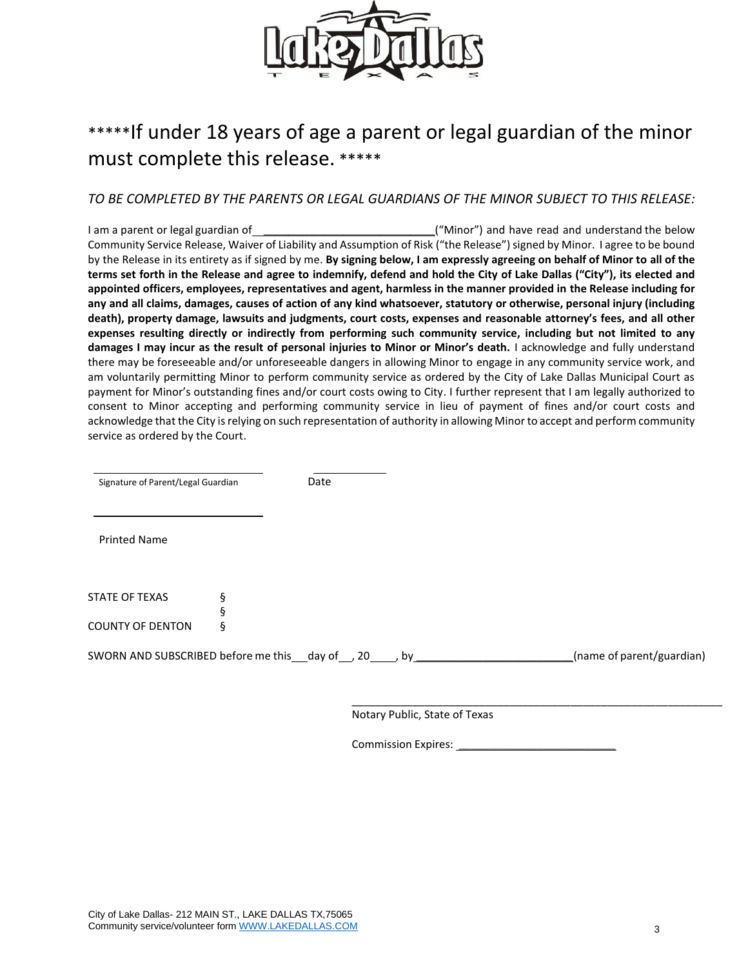

# \*\*\*\*\*If under 18 years of age a parent or legal guardian of the minor must complete this release. \*\*\*\*\*

## *TO BE COMPLETED BY THE PARENTS OR LEGAL GUARDIANS OF THE MINOR SUBJECT TO THIS RELEASE:*

I am a parent or legal guardian of \_\_\_\_\_\_\_\_\_\_\_\_\_\_\_\_\_\_\_\_\_\_\_\_\_\_\_\_\_\_\_\_\_("Minor") and have read and understand the below Community Service Release, Waiver of Liability and Assumption of Risk ("the Release") signed by Minor. I agree to be bound by the Release in its entirety as if signed by me. **By signing below, I am expressly agreeing on behalf of Minor to all of the terms set forth in the Release and agree to indemnify, defend and hold the City of Lake Dallas ("City"), its elected and appointed officers, employees, representatives and agent, harmless in the manner provided in the Release including for any and all claims, damages, causes of action of any kind whatsoever, statutory or otherwise, personal injury (including death), property damage, lawsuits and judgments, court costs, expenses and reasonable attorney's fees, and all other expenses resulting directly or indirectly from performing such community service, including but not limited to any damages I may incur as the result of personal injuries to Minor or Minor's death.** I acknowledge and fully understand there may be foreseeable and/or unforeseeable dangers in allowing Minor to engage in any community service work, and am voluntarily permitting Minor to perform community service as ordered by the City of Lake Dallas Municipal Court as payment for Minor's outstanding fines and/or court costs owing to City. I further represent that I am legally authorized to consent to Minor accepting and performing community service in lieu of payment of fines and/or court costs and acknowledge that the City is relying on such representation of authority in allowing Minor to accept and perform community service as ordered by the Court.

| Signature of Parent/Legal Guardian | Date |
|------------------------------------|------|
|                                    |      |

Printed Name

| STATE OF TEXAS   |   |  |
|------------------|---|--|
|                  | ξ |  |
| COUNTY OF DENTON | ξ |  |

SWORN AND SUBSCRIBED before me this day of , 20 , by \_\_\_\_\_\_\_\_\_\_\_\_\_\_\_\_\_\_\_\_\_\_\_(name of parent/guardian)

\_\_\_\_\_\_\_\_\_\_\_\_\_\_\_\_\_\_\_\_\_\_\_\_\_\_\_\_\_\_\_\_\_\_\_\_\_\_\_\_\_\_\_\_\_\_\_\_\_\_\_\_\_\_\_\_\_\_\_\_\_ Notary Public, State of Texas

Commission Expires: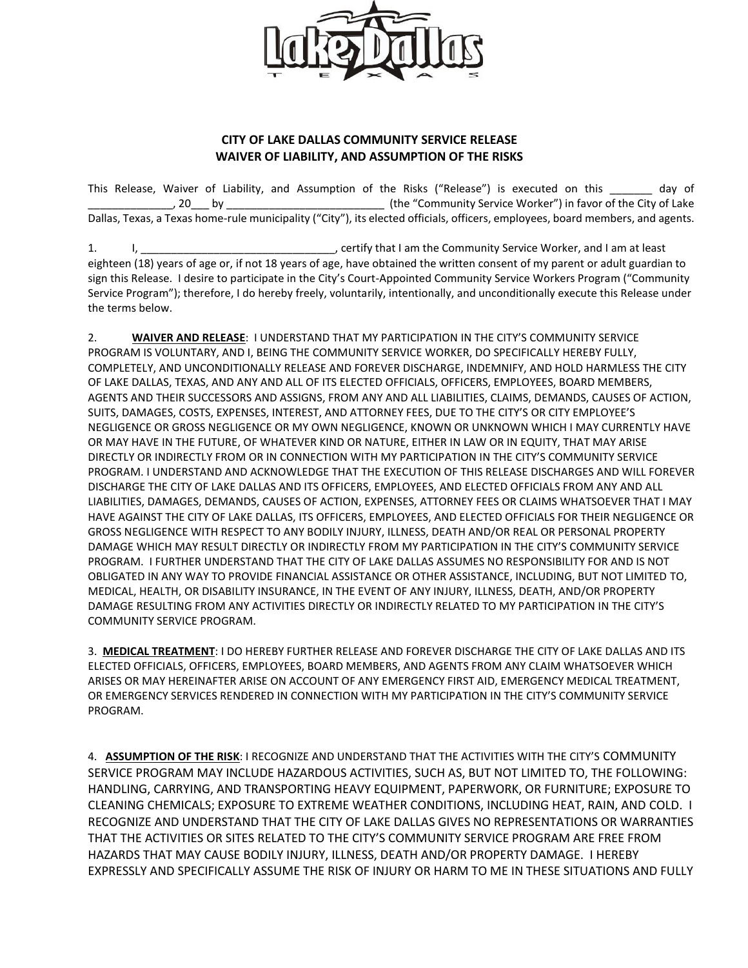

### **CITY OF LAKE DALLAS COMMUNITY SERVICE RELEASE WAIVER OF LIABILITY, AND ASSUMPTION OF THE RISKS**

This Release, Waiver of Liability, and Assumption of the Risks ("Release") is executed on this \_\_\_\_\_\_\_ day of \_\_\_\_\_\_\_\_\_\_\_\_\_\_, 20\_\_\_ by \_\_\_\_\_\_\_\_\_\_\_\_\_\_\_\_\_\_\_\_\_\_\_\_\_\_ (the "Community Service Worker") in favor of the City of Lake Dallas, Texas, a Texas home-rule municipality ("City"), its elected officials, officers, employees, board members, and agents.

1. I, \_\_\_\_\_\_\_\_\_\_\_\_\_\_\_\_\_\_\_\_\_\_\_\_\_\_\_\_\_\_\_\_, certify that I am the Community Service Worker, and I am at least eighteen (18) years of age or, if not 18 years of age, have obtained the written consent of my parent or adult guardian to sign this Release. I desire to participate in the City's Court-Appointed Community Service Workers Program ("Community Service Program"); therefore, I do hereby freely, voluntarily, intentionally, and unconditionally execute this Release under the terms below.

2. **WAIVER AND RELEASE**: I UNDERSTAND THAT MY PARTICIPATION IN THE CITY'S COMMUNITY SERVICE PROGRAM IS VOLUNTARY, AND I, BEING THE COMMUNITY SERVICE WORKER, DO SPECIFICALLY HEREBY FULLY, COMPLETELY, AND UNCONDITIONALLY RELEASE AND FOREVER DISCHARGE, INDEMNIFY, AND HOLD HARMLESS THE CITY OF LAKE DALLAS, TEXAS, AND ANY AND ALL OF ITS ELECTED OFFICIALS, OFFICERS, EMPLOYEES, BOARD MEMBERS, AGENTS AND THEIR SUCCESSORS AND ASSIGNS, FROM ANY AND ALL LIABILITIES, CLAIMS, DEMANDS, CAUSES OF ACTION, SUITS, DAMAGES, COSTS, EXPENSES, INTEREST, AND ATTORNEY FEES, DUE TO THE CITY'S OR CITY EMPLOYEE'S NEGLIGENCE OR GROSS NEGLIGENCE OR MY OWN NEGLIGENCE, KNOWN OR UNKNOWN WHICH I MAY CURRENTLY HAVE OR MAY HAVE IN THE FUTURE, OF WHATEVER KIND OR NATURE, EITHER IN LAW OR IN EQUITY, THAT MAY ARISE DIRECTLY OR INDIRECTLY FROM OR IN CONNECTION WITH MY PARTICIPATION IN THE CITY'S COMMUNITY SERVICE PROGRAM. I UNDERSTAND AND ACKNOWLEDGE THAT THE EXECUTION OF THIS RELEASE DISCHARGES AND WILL FOREVER DISCHARGE THE CITY OF LAKE DALLAS AND ITS OFFICERS, EMPLOYEES, AND ELECTED OFFICIALS FROM ANY AND ALL LIABILITIES, DAMAGES, DEMANDS, CAUSES OF ACTION, EXPENSES, ATTORNEY FEES OR CLAIMS WHATSOEVER THAT I MAY HAVE AGAINST THE CITY OF LAKE DALLAS, ITS OFFICERS, EMPLOYEES, AND ELECTED OFFICIALS FOR THEIR NEGLIGENCE OR GROSS NEGLIGENCE WITH RESPECT TO ANY BODILY INJURY, ILLNESS, DEATH AND/OR REAL OR PERSONAL PROPERTY DAMAGE WHICH MAY RESULT DIRECTLY OR INDIRECTLY FROM MY PARTICIPATION IN THE CITY'S COMMUNITY SERVICE PROGRAM. I FURTHER UNDERSTAND THAT THE CITY OF LAKE DALLAS ASSUMES NO RESPONSIBILITY FOR AND IS NOT OBLIGATED IN ANY WAY TO PROVIDE FINANCIAL ASSISTANCE OR OTHER ASSISTANCE, INCLUDING, BUT NOT LIMITED TO, MEDICAL, HEALTH, OR DISABILITY INSURANCE, IN THE EVENT OF ANY INJURY, ILLNESS, DEATH, AND/OR PROPERTY DAMAGE RESULTING FROM ANY ACTIVITIES DIRECTLY OR INDIRECTLY RELATED TO MY PARTICIPATION IN THE CITY'S COMMUNITY SERVICE PROGRAM.

3. **MEDICAL TREATMENT**: I DO HEREBY FURTHER RELEASE AND FOREVER DISCHARGE THE CITY OF LAKE DALLAS AND ITS ELECTED OFFICIALS, OFFICERS, EMPLOYEES, BOARD MEMBERS, AND AGENTS FROM ANY CLAIM WHATSOEVER WHICH ARISES OR MAY HEREINAFTER ARISE ON ACCOUNT OF ANY EMERGENCY FIRST AID, EMERGENCY MEDICAL TREATMENT, OR EMERGENCY SERVICES RENDERED IN CONNECTION WITH MY PARTICIPATION IN THE CITY'S COMMUNITY SERVICE PROGRAM.

4. **ASSUMPTION OF THE RISK**: I RECOGNIZE AND UNDERSTAND THAT THE ACTIVITIES WITH THE CITY'S COMMUNITY SERVICE PROGRAM MAY INCLUDE HAZARDOUS ACTIVITIES, SUCH AS, BUT NOT LIMITED TO, THE FOLLOWING: HANDLING, CARRYING, AND TRANSPORTING HEAVY EQUIPMENT, PAPERWORK, OR FURNITURE; EXPOSURE TO CLEANING CHEMICALS; EXPOSURE TO EXTREME WEATHER CONDITIONS, INCLUDING HEAT, RAIN, AND COLD. I RECOGNIZE AND UNDERSTAND THAT THE CITY OF LAKE DALLAS GIVES NO REPRESENTATIONS OR WARRANTIES THAT THE ACTIVITIES OR SITES RELATED TO THE CITY'S COMMUNITY SERVICE PROGRAM ARE FREE FROM HAZARDS THAT MAY CAUSE BODILY INJURY, ILLNESS, DEATH AND/OR PROPERTY DAMAGE. I HEREBY EXPRESSLY AND SPECIFICALLY ASSUME THE RISK OF INJURY OR HARM TO ME IN THESE SITUATIONS AND FULLY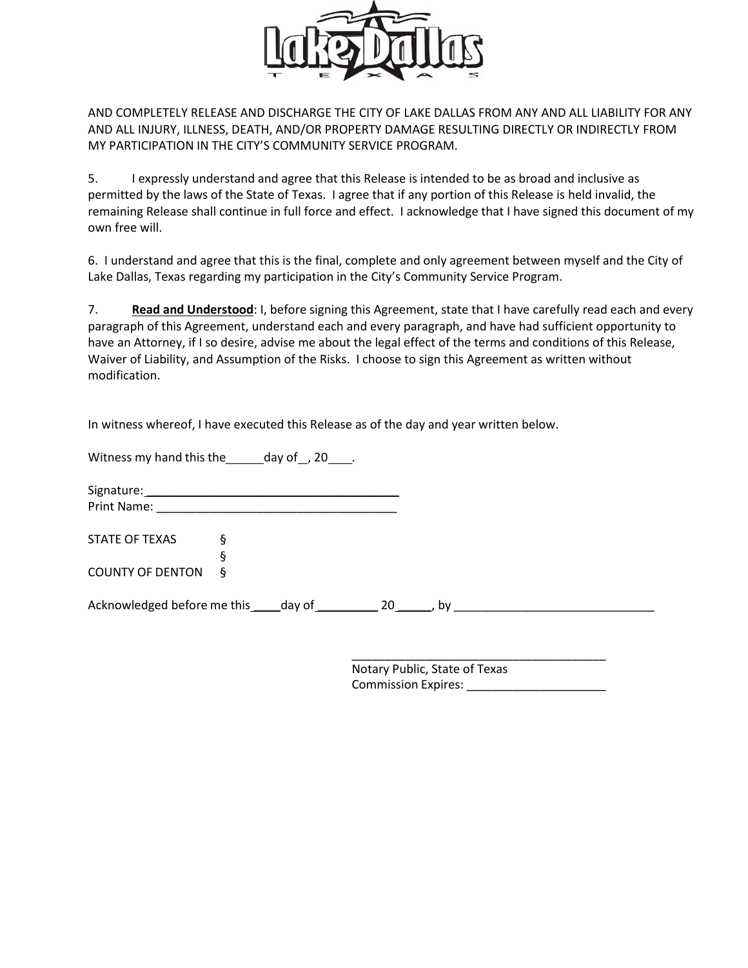

AND COMPLETELY RELEASE AND DISCHARGE THE CITY OF LAKE DALLAS FROM ANY AND ALL LIABILITY FOR ANY AND ALL INJURY, ILLNESS, DEATH, AND/OR PROPERTY DAMAGE RESULTING DIRECTLY OR INDIRECTLY FROM MY PARTICIPATION IN THE CITY'S COMMUNITY SERVICE PROGRAM.

5. I expressly understand and agree that this Release is intended to be as broad and inclusive as permitted by the laws of the State of Texas. I agree that if any portion of this Release is held invalid, the remaining Release shall continue in full force and effect. I acknowledge that I have signed this document of my own free will.

6. I understand and agree that this is the final, complete and only agreement between myself and the City of Lake Dallas, Texas regarding my participation in the City's Community Service Program.

7. **Read and Understood**: I, before signing this Agreement, state that I have carefully read each and every paragraph of this Agreement, understand each and every paragraph, and have had sufficient opportunity to have an Attorney, if I so desire, advise me about the legal effect of the terms and conditions of this Release, Waiver of Liability, and Assumption of the Risks. I choose to sign this Agreement as written without modification.

In witness whereof, I have executed this Release as of the day and year written below.

Witness my hand this the day of , 20 .

Signature: Print Name: \_\_\_\_\_\_\_\_\_\_\_\_\_\_\_\_\_\_\_\_\_\_\_\_\_\_\_\_\_\_\_\_\_\_\_\_

STATE OF TEXAS § § COUNTY OF DENTON §

Acknowledged before me this \_\_\_\_\_day of \_\_\_\_\_\_\_\_\_\_\_\_ 20 \_\_\_\_\_\_, by \_\_\_\_\_\_\_\_\_\_\_\_\_

\_\_\_\_\_\_\_\_\_\_\_\_\_\_\_\_\_\_\_\_\_\_\_\_\_\_\_\_\_\_\_\_\_\_\_\_\_\_ Notary Public, State of Texas Commission Expires: \_\_\_\_\_\_\_\_\_\_\_\_\_\_\_\_\_\_\_\_\_